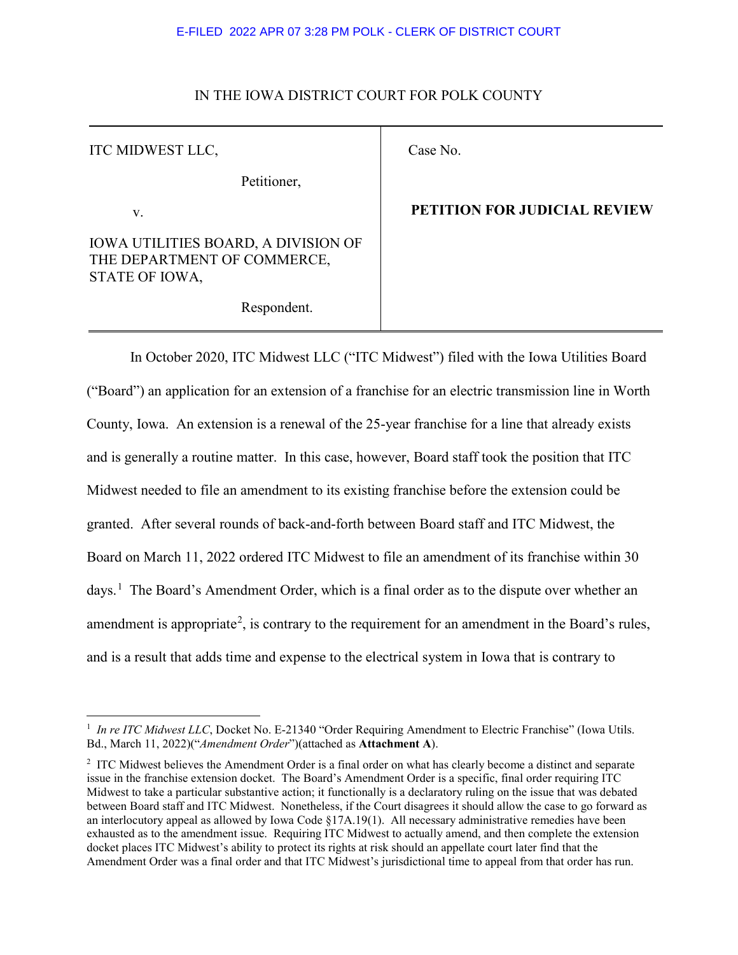## IN THE IOWA DISTRICT COURT FOR POLK COUNTY

| ITC MIDWEST LLC,                                                                            | Case No.      |
|---------------------------------------------------------------------------------------------|---------------|
| Petitioner,                                                                                 |               |
| V.                                                                                          | <b>PETITI</b> |
| <b>IOWA UTILITIES BOARD, A DIVISION OF</b><br>THE DEPARTMENT OF COMMERCE,<br>STATE OF IOWA, |               |
| Respondent.                                                                                 |               |

# **PETITION FOR JUDICIAL REVIEW**

In October 2020, ITC Midwest LLC ("ITC Midwest") filed with the Iowa Utilities Board ("Board") an application for an extension of a franchise for an electric transmission line in Worth County, Iowa. An extension is a renewal of the 25-year franchise for a line that already exists and is generally a routine matter. In this case, however, Board staff took the position that ITC Midwest needed to file an amendment to its existing franchise before the extension could be granted. After several rounds of back-and-forth between Board staff and ITC Midwest, the Board on March 11, 2022 ordered ITC Midwest to file an amendment of its franchise within 30 days.<sup>[1](#page-0-0)</sup> The Board's Amendment Order, which is a final order as to the dispute over whether an amendment is appropriate<sup>[2](#page-0-1)</sup>, is contrary to the requirement for an amendment in the Board's rules, and is a result that adds time and expense to the electrical system in Iowa that is contrary to

<span id="page-0-0"></span> $\frac{1}{1}$ <sup>1</sup> In re ITC Midwest LLC, Docket No. E-21340 "Order Requiring Amendment to Electric Franchise" (Iowa Utils. Bd., March 11, 2022)("*Amendment Order*")(attached as **Attachment A**).

<span id="page-0-1"></span><sup>&</sup>lt;sup>2</sup> ITC Midwest believes the Amendment Order is a final order on what has clearly become a distinct and separate issue in the franchise extension docket. The Board's Amendment Order is a specific, final order requiring ITC Midwest to take a particular substantive action; it functionally is a declaratory ruling on the issue that was debated between Board staff and ITC Midwest. Nonetheless, if the Court disagrees it should allow the case to go forward as an interlocutory appeal as allowed by Iowa Code §17A.19(1). All necessary administrative remedies have been exhausted as to the amendment issue. Requiring ITC Midwest to actually amend, and then complete the extension docket places ITC Midwest's ability to protect its rights at risk should an appellate court later find that the Amendment Order was a final order and that ITC Midwest's jurisdictional time to appeal from that order has run.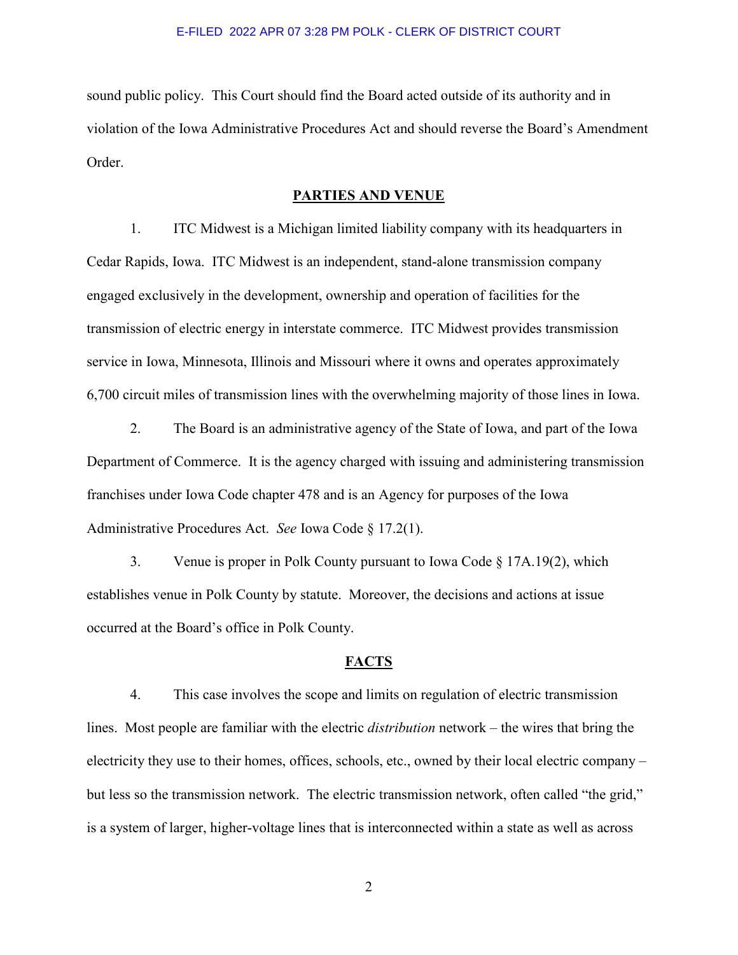sound public policy. This Court should find the Board acted outside of its authority and in violation of the Iowa Administrative Procedures Act and should reverse the Board's Amendment Order.

#### **PARTIES AND VENUE**

1. ITC Midwest is a Michigan limited liability company with its headquarters in Cedar Rapids, Iowa. ITC Midwest is an independent, stand-alone transmission company engaged exclusively in the development, ownership and operation of facilities for the transmission of electric energy in interstate commerce. ITC Midwest provides transmission service in Iowa, Minnesota, Illinois and Missouri where it owns and operates approximately 6,700 circuit miles of transmission lines with the overwhelming majority of those lines in Iowa.

2. The Board is an administrative agency of the State of Iowa, and part of the Iowa Department of Commerce. It is the agency charged with issuing and administering transmission franchises under Iowa Code chapter 478 and is an Agency for purposes of the Iowa Administrative Procedures Act. *See* Iowa Code § 17.2(1).

3. Venue is proper in Polk County pursuant to Iowa Code § 17A.19(2), which establishes venue in Polk County by statute. Moreover, the decisions and actions at issue occurred at the Board's office in Polk County.

## **FACTS**

4. This case involves the scope and limits on regulation of electric transmission lines. Most people are familiar with the electric *distribution* network – the wires that bring the electricity they use to their homes, offices, schools, etc., owned by their local electric company – but less so the transmission network. The electric transmission network, often called "the grid," is a system of larger, higher-voltage lines that is interconnected within a state as well as across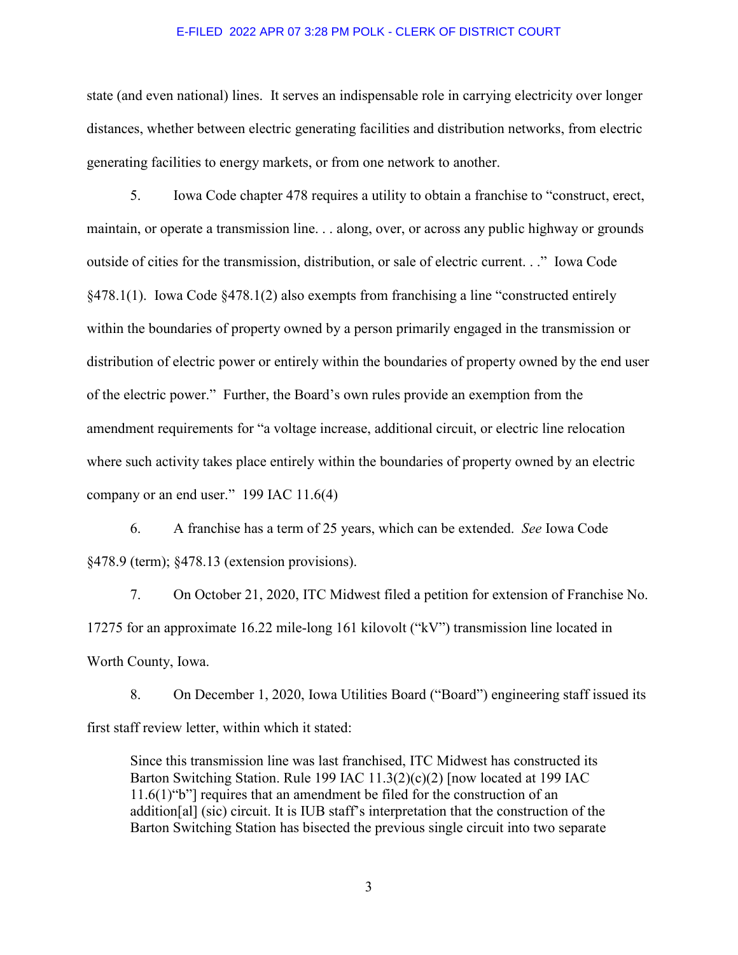state (and even national) lines. It serves an indispensable role in carrying electricity over longer distances, whether between electric generating facilities and distribution networks, from electric generating facilities to energy markets, or from one network to another.

5. Iowa Code chapter 478 requires a utility to obtain a franchise to "construct, erect, maintain, or operate a transmission line. . . along, over, or across any public highway or grounds outside of cities for the transmission, distribution, or sale of electric current. . ." Iowa Code §478.1(1). Iowa Code §478.1(2) also exempts from franchising a line "constructed entirely within the boundaries of property owned by a person primarily engaged in the transmission or distribution of electric power or entirely within the boundaries of property owned by the end user of the electric power." Further, the Board's own rules provide an exemption from the amendment requirements for "a voltage increase, additional circuit, or electric line relocation where such activity takes place entirely within the boundaries of property owned by an electric company or an end user." 199 IAC 11.6(4)

6. A franchise has a term of 25 years, which can be extended. *See* Iowa Code §478.9 (term); §478.13 (extension provisions).

7. On October 21, 2020, ITC Midwest filed a petition for extension of Franchise No. 17275 for an approximate 16.22 mile-long 161 kilovolt ("kV") transmission line located in Worth County, Iowa.

8. On December 1, 2020, Iowa Utilities Board ("Board") engineering staff issued its first staff review letter, within which it stated:

Since this transmission line was last franchised, ITC Midwest has constructed its Barton Switching Station. Rule 199 IAC 11.3(2)(c)(2) [now located at 199 IAC 11.6(1)"b"] requires that an amendment be filed for the construction of an addition[al] (sic) circuit. It is IUB staff's interpretation that the construction of the Barton Switching Station has bisected the previous single circuit into two separate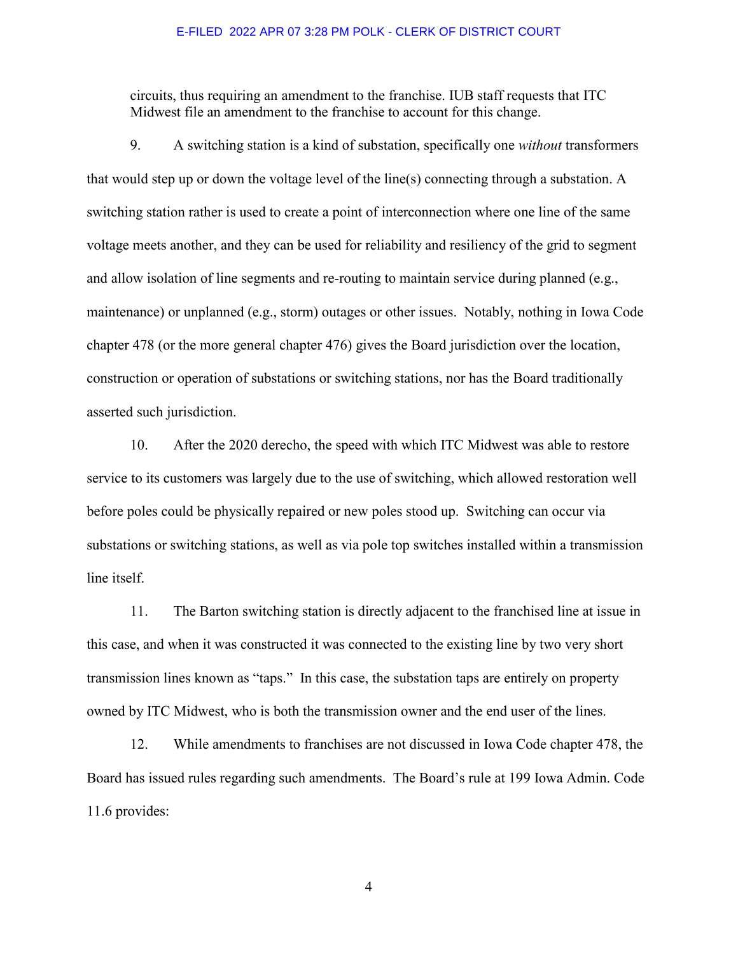circuits, thus requiring an amendment to the franchise. IUB staff requests that ITC Midwest file an amendment to the franchise to account for this change.

9. A switching station is a kind of substation, specifically one *without* transformers that would step up or down the voltage level of the line(s) connecting through a substation. A switching station rather is used to create a point of interconnection where one line of the same voltage meets another, and they can be used for reliability and resiliency of the grid to segment and allow isolation of line segments and re-routing to maintain service during planned (e.g., maintenance) or unplanned (e.g., storm) outages or other issues. Notably, nothing in Iowa Code chapter 478 (or the more general chapter 476) gives the Board jurisdiction over the location, construction or operation of substations or switching stations, nor has the Board traditionally asserted such jurisdiction.

10. After the 2020 derecho, the speed with which ITC Midwest was able to restore service to its customers was largely due to the use of switching, which allowed restoration well before poles could be physically repaired or new poles stood up. Switching can occur via substations or switching stations, as well as via pole top switches installed within a transmission line itself.

11. The Barton switching station is directly adjacent to the franchised line at issue in this case, and when it was constructed it was connected to the existing line by two very short transmission lines known as "taps." In this case, the substation taps are entirely on property owned by ITC Midwest, who is both the transmission owner and the end user of the lines.

12. While amendments to franchises are not discussed in Iowa Code chapter 478, the Board has issued rules regarding such amendments. The Board's rule at 199 Iowa Admin. Code 11.6 provides: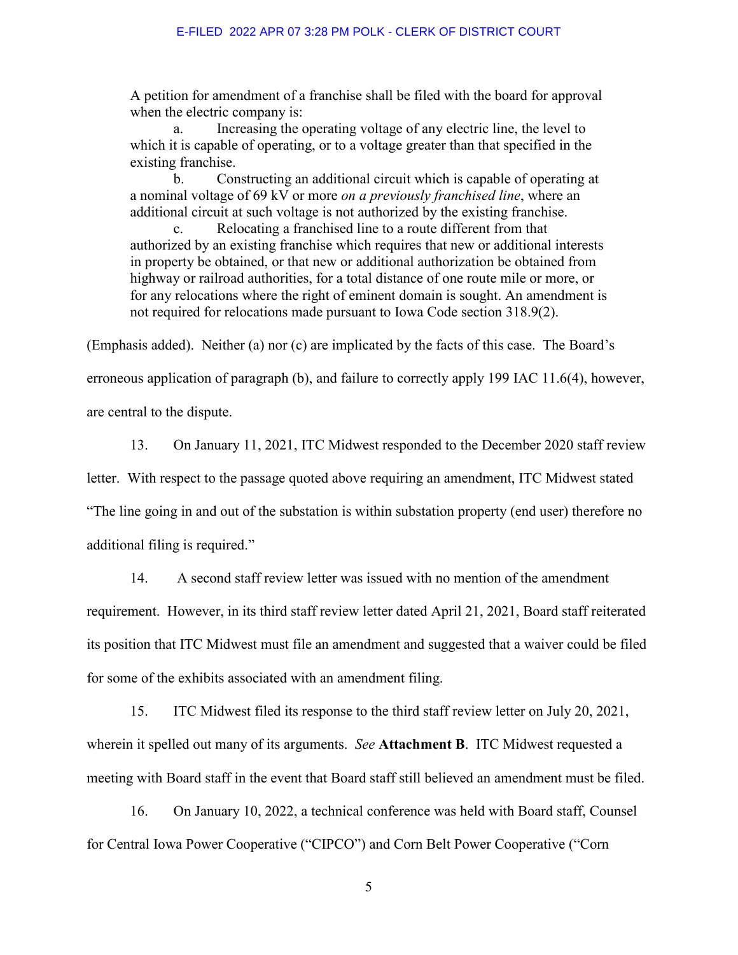A petition for amendment of a franchise shall be filed with the board for approval when the electric company is:

a. Increasing the operating voltage of any electric line, the level to which it is capable of operating, or to a voltage greater than that specified in the existing franchise.

b. Constructing an additional circuit which is capable of operating at a nominal voltage of 69 kV or more *on a previously franchised line*, where an additional circuit at such voltage is not authorized by the existing franchise.

Relocating a franchised line to a route different from that authorized by an existing franchise which requires that new or additional interests in property be obtained, or that new or additional authorization be obtained from highway or railroad authorities, for a total distance of one route mile or more, or for any relocations where the right of eminent domain is sought. An amendment is not required for relocations made pursuant to Iowa Code section 318.9(2).

(Emphasis added). Neither (a) nor (c) are implicated by the facts of this case. The Board's erroneous application of paragraph (b), and failure to correctly apply 199 IAC 11.6(4), however,

are central to the dispute.

13. On January 11, 2021, ITC Midwest responded to the December 2020 staff review letter. With respect to the passage quoted above requiring an amendment, ITC Midwest stated "The line going in and out of the substation is within substation property (end user) therefore no additional filing is required."

14. A second staff review letter was issued with no mention of the amendment requirement. However, in its third staff review letter dated April 21, 2021, Board staff reiterated its position that ITC Midwest must file an amendment and suggested that a waiver could be filed for some of the exhibits associated with an amendment filing.

15. ITC Midwest filed its response to the third staff review letter on July 20, 2021, wherein it spelled out many of its arguments. *See* **Attachment B**. ITC Midwest requested a meeting with Board staff in the event that Board staff still believed an amendment must be filed.

16. On January 10, 2022, a technical conference was held with Board staff, Counsel for Central Iowa Power Cooperative ("CIPCO") and Corn Belt Power Cooperative ("Corn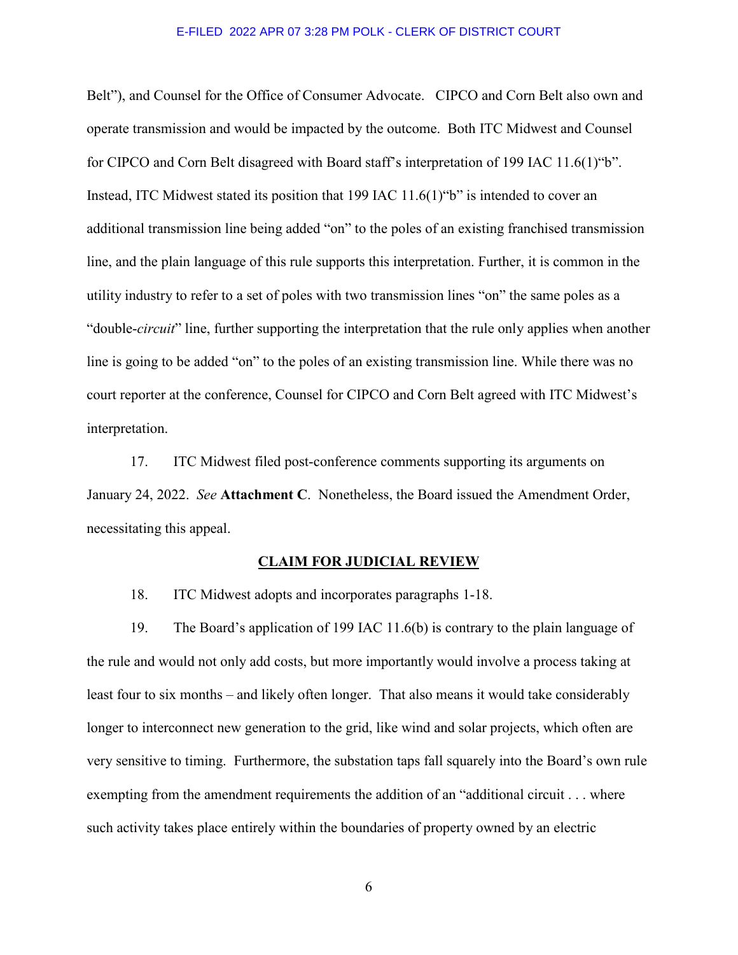Belt"), and Counsel for the Office of Consumer Advocate. CIPCO and Corn Belt also own and operate transmission and would be impacted by the outcome. Both ITC Midwest and Counsel for CIPCO and Corn Belt disagreed with Board staff's interpretation of 199 IAC 11.6(1)"b". Instead, ITC Midwest stated its position that 199 IAC 11.6(1)"b" is intended to cover an additional transmission line being added "on" to the poles of an existing franchised transmission line, and the plain language of this rule supports this interpretation. Further, it is common in the utility industry to refer to a set of poles with two transmission lines "on" the same poles as a "double-*circuit*" line, further supporting the interpretation that the rule only applies when another line is going to be added "on" to the poles of an existing transmission line. While there was no court reporter at the conference, Counsel for CIPCO and Corn Belt agreed with ITC Midwest's interpretation.

17. ITC Midwest filed post-conference comments supporting its arguments on January 24, 2022. *See* **Attachment C**. Nonetheless, the Board issued the Amendment Order, necessitating this appeal.

#### **CLAIM FOR JUDICIAL REVIEW**

18. ITC Midwest adopts and incorporates paragraphs 1-18.

19. The Board's application of 199 IAC 11.6(b) is contrary to the plain language of the rule and would not only add costs, but more importantly would involve a process taking at least four to six months – and likely often longer. That also means it would take considerably longer to interconnect new generation to the grid, like wind and solar projects, which often are very sensitive to timing. Furthermore, the substation taps fall squarely into the Board's own rule exempting from the amendment requirements the addition of an "additional circuit . . . where such activity takes place entirely within the boundaries of property owned by an electric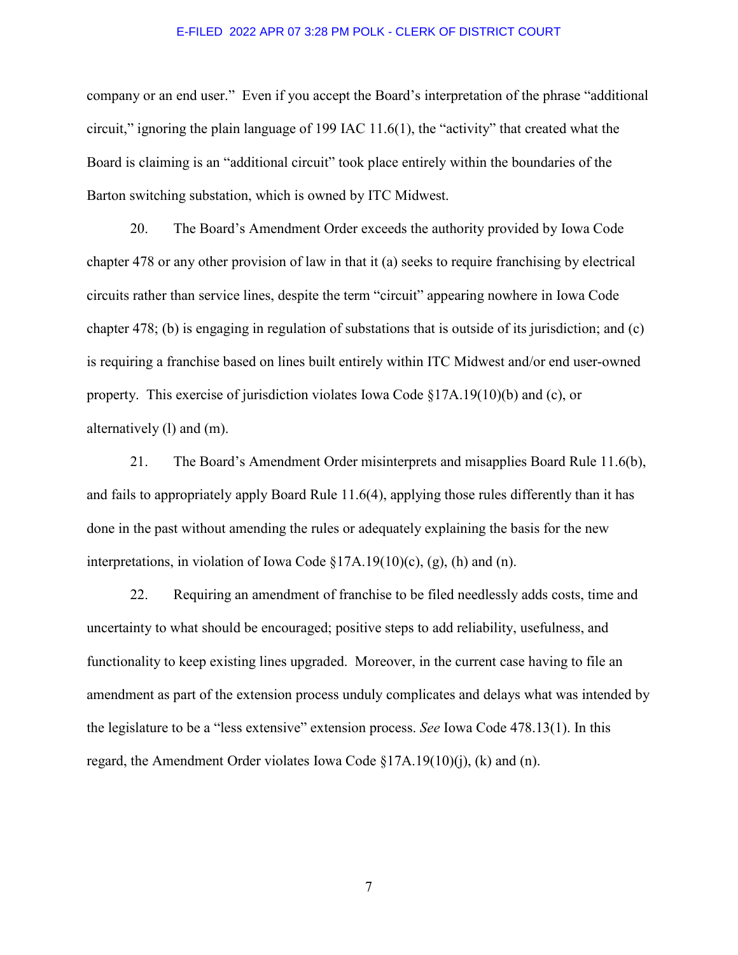company or an end user." Even if you accept the Board's interpretation of the phrase "additional circuit," ignoring the plain language of 199 IAC 11.6(1), the "activity" that created what the Board is claiming is an "additional circuit" took place entirely within the boundaries of the Barton switching substation, which is owned by ITC Midwest.

20. The Board's Amendment Order exceeds the authority provided by Iowa Code chapter 478 or any other provision of law in that it (a) seeks to require franchising by electrical circuits rather than service lines, despite the term "circuit" appearing nowhere in Iowa Code chapter 478; (b) is engaging in regulation of substations that is outside of its jurisdiction; and (c) is requiring a franchise based on lines built entirely within ITC Midwest and/or end user-owned property. This exercise of jurisdiction violates Iowa Code §17A.19(10)(b) and (c), or alternatively (l) and (m).

21. The Board's Amendment Order misinterprets and misapplies Board Rule 11.6(b), and fails to appropriately apply Board Rule 11.6(4), applying those rules differently than it has done in the past without amending the rules or adequately explaining the basis for the new interpretations, in violation of Iowa Code  $\S 17A.19(10)(c)$ , (g), (h) and (n).

22. Requiring an amendment of franchise to be filed needlessly adds costs, time and uncertainty to what should be encouraged; positive steps to add reliability, usefulness, and functionality to keep existing lines upgraded. Moreover, in the current case having to file an amendment as part of the extension process unduly complicates and delays what was intended by the legislature to be a "less extensive" extension process. *See* Iowa Code 478.13(1). In this regard, the Amendment Order violates Iowa Code  $\S17A.19(10)(i)$ , (k) and (n).